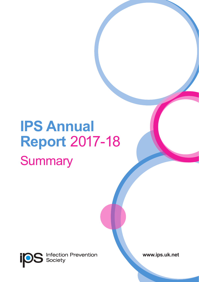# **IPS Annual Report** 2017-18 **Summary**

**Infection Prevention**<br>Society **ips** 

**www.ips.uk.net**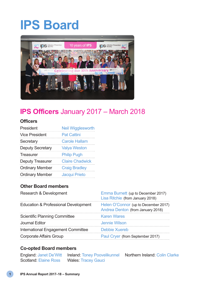# **IPS Board**



### **IPS Officers** January 2017 – March 2018

#### **Officers**

| President              | <b>Neil Wigglesworth</b> |
|------------------------|--------------------------|
| Vice President         | <b>Pat Cattini</b>       |
| Secretary              | <b>Carole Hallam</b>     |
| Deputy Secretary       | <b>Valya Weston</b>      |
| Treasurer              | <b>Philip Pugh</b>       |
| Deputy Treasurer       | <b>Claire Chadwick</b>   |
| <b>Ordinary Member</b> | <b>Craig Bradley</b>     |
| <b>Ordinary Member</b> | Jacqui Prieto            |

#### **Other Board members**

| Research & Development               | Emma Burnett (up to December 2017)<br>Lisa Ritchie (from January 2018)    |
|--------------------------------------|---------------------------------------------------------------------------|
| Education & Professional Development | Helen O'Connor (up to December 2017)<br>Andrea Denton (from January 2018) |
| <b>Scientific Planning Committee</b> | <b>Karen Wares</b>                                                        |
| Journal Editor                       | Jennie Wilson                                                             |
| International Engagement Committee   | Debbie Xuereb                                                             |
| Corporate Affairs Group              | Paul Cryer (from September 2017)                                          |

#### **Co-opted Board members**

England: Janet De'Witt Ireland: Toney Poovelikunnel Northern Ireland: Colin Clarke Wales: Tracey Gauci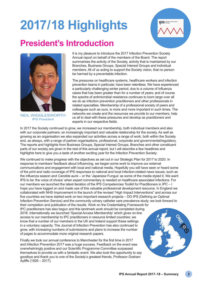# **2017/18 Highlights**



# **President's Introduction**



NEIL WIGGLESWORTH IPS President

It is my pleasure to introduce the 2017 Infection Prevention Society Annual report on behalf of the members of the Board. The report summarises the activity of the Society, activity that is maintained by our Branches, Business Groups, Special Interest Groups and individual members. All of us acting to support the Society vision, that no person be harmed by a preventable infection.

The pressures on healthcare systems, healthcare workers and infection prevention teams in particular, have been relentless. We have experienced a particularly challenging winter period, due to a volume of Influenza cases that has been greater than for a number of years; and of course the spectre of antimicrobial resistance continues to loom large over all we do as infection prevention practitioners and other professionals in related specialties. Membership of a professional society of peers and colleagues such as ours, is more and more important in such times. The networks we create and the resources we provide to our members, help us all to deal with these pressures and develop as practitioners and experts in our respective fields.

In 2017 the Society continued to grow, we increased our membership, both individual members and also with our corporate partners; an increasingly important and valuable relationship for the society. As well as growing as an organisation we also expanded our activities across a range of work, both within the Society and, as always, with a range of partner organisations, professional, corporate and governmental/regulatory. The reports and highlights from Business Groups, Special Interest Groups, Branches and other constituent parts of our society are given in the rest of this annual report, but I will describe a few headlines and highlights here to give you a taste of another exciting year for the Infection Prevention Society:

We continued to make progress with the objectives as set out in our Strategic Plan for 2017 to 2020. In response to members' feedback about influencing, we began some work to improve our external communications and engagement with local and national media. Hopefully you will have seen or heard some of the print and radio coverage of IPS responses to national and local infection-related news issues; such as the influenza season and *Candida auris* – or the 'Japanese Fungus' as some of the media styled it. We want IPS to be 'the voice of choice' when expert commentary is needed on healthcare associated infections. For our members we launched the latest iteration of the IPS Competencies Toolkit for Practitioners in IPC – I hope you have logged on and made use of this valuable professional development resource. In England we collaborated with NHS Improvement in the launch of the revised "High Impact Interventions" and across our five countries we have started work on two important research projects – DO IPS (Defining an Optimal Infection Prevention Service) and the community urinary catheter care prevalence study; we look forward to

their completion and publication of the results. Work on the Credentialing Framework for IPC practitioners has also begun and this landmark work should be completed during 2018. Internationally we launched 'Special Access Membership' which gives on-line access to our membership to IPC practitioners in resource limited countries; we know that a number of our members in the UK and Ireland support these settings in a voluntary capacity. The Journal of Infection Prevention has also continued to grow, with increasing numbers of submissions and plans to increase the number of pages to accommodate more original research papers.

Finally we took our annual conference to Manchester for the first time in 2017 and Infection Prevention 2017 was a huge success. Feedback on the event was overwhelmingly positive and our Scientific Programme Committee surpassed themselves to provide us with a fantastic event. We also took the opportunity to say goodbye and thank you to one of the Society's greatest friends, Professor Graham Ayliffe (1926 – 2017).

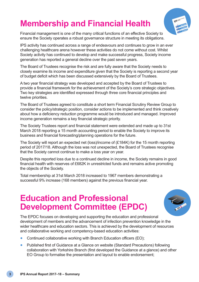# **Membership and Financial Health**



Financial management is one of the many critical functions of an effective Society to ensure the Society operates a robust governance structure in meeting its obligations.

IPS activity has continued across a range of endeavours and continues to grow in an ever challenging healthcare arena however these activities do not come without cost. Whilst Society activity has continued to develop and make successful progress, Society income generation has reported a general decline over the past seven years.

The Board of Trustees recognise the risk and are fully aware that the Society needs to closely examine its income and expenditure given that the Society is reporting a second year of budget deficit which has been discussed extensively by the Board of Trustees.

A two year financial strategy was developed and accepted by the Board of Trustees to provide a financial framework for the achievement of the Society's core strategic objectives. Two key strategies are identified expressed through three core financial principles and twelve priorities.

The Board of Trustees agreed to constitute a short term Financial Scrutiny Review Group to consider the policy/strategic position, consider actions to be implemented and think creatively about how a deficiency reduction programme would be introduced and managed. Improved income generation remains a key financial strategic priority.

The Society Trustees report and financial statement were extended and made up to 31st March 2018 reporting a 15 month accounting period to enable the Society to improve its business and financial forecasting/planning operations for the future.

The Society will report an expected net (loss)/income of (£184K) for the 15 month reporting period of 2017/18. Although the loss was not unexpected, the Board of Trustees recognise that the Society cannot continue to make a loss year on year.

Despite this reported loss due to a continued decline in income, the Society remains in good financial health with reserves of £682K in unrestricted funds and remains active promoting the objects of the Society.

Total membership at 31st March 2018 increased to 1967 members demonstrating a successful 9% increase (168 members) against the previous financial year.

# **Education and Professional Development Committee (EPDC)**



The EPDC focuses on developing and supporting the education and professional development of members and the advancement of infection prevention knowledge in the wider healthcare and education sectors. This is achieved by the development of resources and collaborative working and competency-based education activities:

- Continued collaborative working with Branch Education officers (EO);
- Published first of Guidance at a Glance on website (Standard Precautions) following collaboration with Yorkshire Branch (first developed the Guidance at a glance) and other EO Group to formalise the presentation and layout to enable endorsement;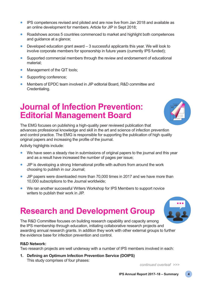- IPS competences revised and piloted and are now live from Jan 2018 and available as an online development for members. Article for JIP in Sept 2018;
- Roadshows across 5 countries commenced to market and highlight both competences and guidance at a glance;
- Developed education grant award  $-3$  successful applicants this year. We will look to involve corporate members for sponsorship in future years (currently IPS funded);
- Supported commercial members through the review and endorsement of educational material;
- Management of the QIT tools;
- Supporting conference;
- Members of EPDC team involved in JIP editorial Board, R&D committee and Credentialing.

### **Journal of Infection Prevention: Editorial Management Board**

The EMG focuses on publishing a high-quality peer reviewed publication that advances professional knowledge and skill in the art and science of infection prevention and control practice. The EMG is responsible for supporting the publication of high quality original papers and increasing the profile of the journal.

Activity highlights include:

- We have seen a steady rise in submissions of original papers to the journal and this year and as a result have increased the number of pages per issue;
- JIP is developing a strong International profile with authors from around the work choosing to publish in our Journal;
- JIP papers were downloaded more than 70,000 times in 2017 and we have more than 10,000 subscriptions to the Journal worldwide;
- We ran another successful Writers Workshop for IPS Members to support novice writers to publish their work in JIP.

### **Research and Development Group**

The R&D Committee focuses on building research capability and capacity among the IPS membership through education, initiating collaborative research projects and awarding annual research grants. In addition they work with other external groups to further the evidence base for infection prevention and control.

#### **R&D Network:**

Two research projects are well underway with a number of IPS members involved in each:

**1. Defining an Optimum Infection Prevention Service (DOIPS)** This study comprises of four phases:

*continued overleaf >>>*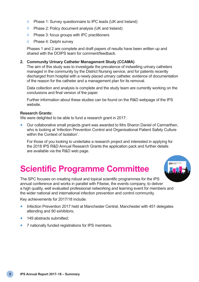- o Phase 1: Survey questionnaire to IPC leads (UK and Ireland)
- o Phase 2: Policy document analysis (UK and Ireland)
- o Phase 3: focus groups with IPC practitioners
- o Phase 4: Delphi survey

Phases 1 and 2 are complete and draft papers of results have been written up and shared with the DOIPS team for comment/feedback.

#### **2. Community Urinary Catheter Management Study (CCAMA)**

The aim of this study was to investigate the prevalence of indwelling urinary catheters managed in the community by the District Nursing service, and for patients recently discharged from hospital with a newly placed urinary catheter, evidence of documentation of the reason for the catheter and a management plan for its removal.

Data collection and analysis is complete and the study team are currently working on the conclusions and final version of the paper.

Further information about these studies can be found on the R&D webpage of the IPS website.

#### **Research Grants:**

We were delighted to be able to fund a research grant in 2017:

• Our collaborative small projects grant was awarded to Mrs Sharon Daniel of Carmarthen, who is looking at 'Infection Prevention Control and Organisational Patient Safety Culture within the Context of Isolation'.

For those of you looking to undertake a research project and interested in applying for the 2018 IPS R&D Annual Research Grants the application pack and further details are available via the R&D web page.

# **Scientific Programme Committee**

The SPC focuses on creating robust and topical scientific programmes for the IPS annual conference and works in parallel with Fitwise, the events company, to deliver a high quality, well evaluated professional networking and learning event for members and the wider national and international infection prevention and control community.

Key achievements for 2017/18 include:

- Infection Prevention 2017 held at Manchester Central, Manchester with 451 delegates attending and 90 exhibitors;
- 149 abstracts submitted;
- 7 nationally funded registrations for IPS members.

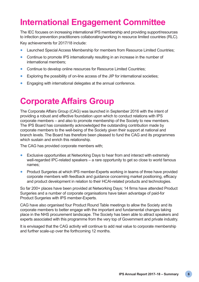# **International Engagement Committee**

The IEC focuses on increasing international IPS membership and providing support/resources to infection prevention practitioners collaborating/working in resource limited countries (RLC). Key achievements for 2017/18 include:

- Launched Special Access Membership for members from Resource Limited Countries;
- Continue to promote IPS internationally resulting in an increase in the number of international members;
- Continue to develop online resources for Resource Limited Countries:
- Exploring the possibility of on-line access of the JIP for international societies;
- Engaging with international delegates at the annual conference.

# **Corporate Affairs Group**

The Corporate Affairs Group (CAG) was launched in September 2016 with the intent of providing a robust and effective foundation upon which to conduct relations with IPS corporate members – and also to promote membership of the Society to new members. The IPS Board has consistently acknowledged the outstanding contribution made by corporate members to the well-being of the Society given their support at national and branch levels. The Board has therefore been pleased to fund the CAG and its programmes which sustain and enrich this relationship.

The CAG has provided corporate members with;

- Exclusive opportunities at Networking Days to hear from and interact with extremely well-regarded IPC-related speakers – a rare opportunity to get so close to world famous names;
- Product Surgeries at which IPS member-Experts working in teams of three have provided corporate members with feedback and guidance concerning market positioning, efficacy and product development in relation to their HCAI-related products and technologies.

So far 200+ places have been provided at Networking Days; 14 firms have attended Product Surgeries and a number of corporate organisations have taken advantage of paid-for Product Surgeries with IPS member-Experts.

CAG have also organised four Product Round Table meetings to allow the Society and its corporate members to better engage with the important and fundamental changes taking place in the NHS procurement landscape. The Society has been able to attract speakers and experts associated with this programme from the very top of Government and private industry.

It is envisaged that the CAG activity will continue to add real value to corporate membership and further scale-up over the forthcoming 12 months.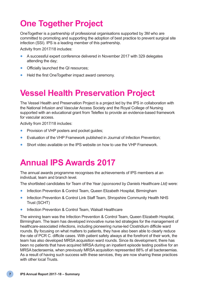# **One Together Project**

OneTogether is a partnership of professional organisations supported by 3M who are committed to promoting and supporting the adoption of best practice to prevent surgical site infection (SSI). IPS is a leading member of this partnership.

Activity from 2017/18 includes:

- A successful expert conference delivered in November 2017 with 329 delegates attending the day;
- Officially launched the QI resources;
- Held the first OneTogether impact award ceremony.

# **Vessel Health Preservation Project**

The Vessel Health and Preservation Project is a project led by the IPS in collaboration with the National Infusion and Vascular Access Society and the Royal College of Nursing supported with an educational grant from Teleflex to provide an evidence-based framework for vascular access.

Activity from 2017/18 includes:

- Provision of VHP posters and pocket guides;
- Evaluation of the VHP Framework published in Journal of Infection Prevention;
- Short video available on the IPS website on how to use the VHP Framework.

# **Annual IPS Awards 2017**

The annual awards programme recognises the achievements of IPS members at an individual, team and branch level.

The shortlisted candidates for Team of the Year *(sponsored by Daniels Healthcare Ltd)* were:

- Infection Prevention & Control Team, Queen Elizabeth Hospital, Birmingham
- Infection Prevention & Control Link Staff Team, Shropshire Community Health NHS Trust (SCHT)
- Infection Prevention & Control Team, Walsall Healthcare

The winning team was the Infection Prevention & Control Team, Queen Elizabeth Hospital, Birmingham. The team has developed innovative nurse led strategies for the management of healthcare-associated infections, including pioneering nurse-led Clostridium difficile ward rounds. By focusing on what matters to patients, they have also been able to clearly reduce the rate of PCR C. difficile cases. With patient safety always at the forefront of their work, the team has also developed MRSA acquisition ward rounds. Since its development, there has been no patients that have acquired MRSA during an inpatient episode testing positive for an MRSA bacteraemia, when previously MRSA acquisition represented 88% of all bacteraemias. As a result of having such success with these services, they are now sharing these practices with other local Trusts.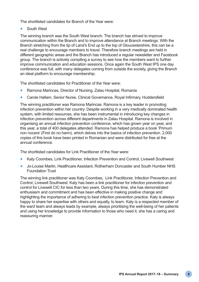The shortlisted candidates for Branch of the Year were:

South West

The winning branch was the South West branch. The branch has strived to improve communication within the Branch and to improve attendance at Branch meetings. With the Branch stretching from the tip of Land's End up to the top of Gloucestershire, this can be a real challenge to encourage members to travel. Therefore branch meetings are held in different geographic areas and the Branch has introduced a regular newsletter and Facebook group. The branch is actively compiling a survey to see how the members want to further improve communication and education sessions. Once again the South West IPS one day conference was full, with many delegates coming from outside the society, giving the Branch an ideal platform to encourage membership.

The shortlisted candidates for Practitioner of the Year were:

- Ramona Marincas, Director of Nursing, Zalau Hospital, Romania
- Carole Hallam, Senior Nurse, Clinical Governance, Royal Infirmary, Huddersfield

The winning practitioner was Ramona Marincas. Ramona is a key leader in promoting infection prevention within her country. Despite working in a very medically dominated health system, with limited resources, she has been instrumental in introducing key changes in infection prevention across different departments in Zalau Hospital. Ramona is involved in organising an annual infection prevention conference, which has grown year on year, and this year, a total of 400 delegates attended. Ramona has helped produce a book 'Primum non nocere' (First do no harm), which delves into the basics of infection prevention. 2,000 copies of this book have been printed in Romanian and were distributed for free at the annual conference.

The shortlisted candidates for Link Practitioner of the Year were:

- Katy Coombes, Link Practitioner, Infection Prevention and Control, Livewell Southwest
- Jo-Louise Martin, Healthcare Assistant, Rotherham Doncaster and South Humber NHS Foundation Trust

The winning link practitioner was Katy Coombes, Link Practitioner, Infection Prevention and Control, Livewell Southwest. Katy has been a link practitioner for infection prevention and control for Livewell CIC for less than two years. During this time, she has demonstrated enthusiasm and commitment and has been effective in making positive change and highlighting the importance of adhering to best infection prevention practice. Katy is always happy to share her expertise with others and equally, to learn. Katy is a respected member of the ward team and always leads by example, always prioritising the well-being of her patients and using her knowledge to provide information to those who need it, she has a caring and reassuring manner.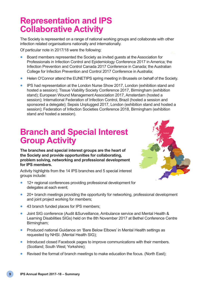# **Representation and IPS Collaborative Activity**

The Society is represented on a range of national working groups and collaborate with other infection related organisations nationally and internationally.

Of particular note in 2017/18 were the following:

- Board members represented the Society as invited guests at the Association for Professionals in Infection Control and Epidemiology Conference 2017 in America; the Infection Prevention and Control Canada 2017 Conference in Canada; the Australian College for Infection Prevention and Control 2017 Conference in Australia;
- Helen O'Connor attend the EUNETIPS spring meeting in Brussels on behalf of the Society.
- IPS had representation at the London Nurse Show 2017, London (exhibition stand and hosted a session); Tissue Viability Society Conference 2017, Birmingham (exhibition stand); European Wound Management Association 2017, Amsterdam (hosted a session); International Federation of Infection Control, Brazil (hosted a session and sponsored a delegate); Sepsis Unplugged 2017, London (exhibition stand and hosted a session); Federation of Infection Societies Conference 2018, Birmingham (exhibition stand and hosted a session).

# **Branch and Special Interest Group Activity**

**The branches and special interest groups are the heart of the Society and provide opportunities for collaborating, problem solving, networking and professional development for IPS members.**

Activity highlights from the 14 IPS branches and 5 special interest groups include:

- 12+ regional conferences providing professional development for delegates at each event;
- 
- 20+ branch meetings providing the opportunity for networking, professional development and joint project working for members;
- 43 branch funded places for IPS members;
- Joint SIG conference (Audit &Surveillance, Ambulance service and Mental Health & Learning Disabilities SIGs) held on the 8th November 2017 at Bethel Conference Centre Birmingham;
- Produced national Guidance on 'Bare Below Elbows' in Mental Health settings as requested by NHSI. (Mental Health SIG);
- Introduced closed Facebook pages to improve communications with their members. (Scotland; South West; Yorkshire);
- Revised the format of branch meetings to make education the focus. (North East);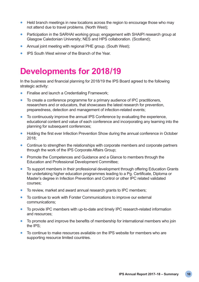- Held branch meetings in new locations across the region to encourage those who may not attend due to travel problems. (North West);
- Participation in the SARHAI working group; engagement with SHAIPI research group at Glasgow Caledonian University; NES and HPS collaboration. (Scotland);
- Annual joint meeting with regional PHE group. (South West);
- IPS South West winner of the Branch of the Year.

## **Developments for 2018/19**

In the business and financial planning for 2018/19 the IPS Board agreed to the following strategic activity:

- Finalise and launch a Credentialing Framework;
- To create a conference programme for a primary audience of IPC practitioners, researchers and or educators, that showcases the latest research for prevention, preparedness, detection and management of infection-related events;
- To continuously improve the annual IPS Conference by evaluating the experience, educational content and value of each conference and incorporating any learning into the planning for subsequent conferences;
- Holding the first ever Infection Prevention Show during the annual conference in October 2018;
- Continue to strengthen the relationships with corporate members and corporate partners through the work of the IPS Corporate Affairs Group;
- Promote the Competences and Guidance and a Glance to members through the Education and Professional Development Committee;
- To support members in their professional development through offering Education Grants for undertaking higher education programmes leading to a Pg. Certificate, Diploma or Master's degree in Infection Prevention and Control or other IPC related validated courses;
- To review, market and award annual research grants to IPC members;
- To continue to work with Forster Communications to improve our external communications;
- To provide IPC members with up-to-date and timely IPC research-related information and resources;
- To promote and improve the benefits of membership for international members who join the IPS;
- To continue to make resources available on the IPS website for members who are supporting resource limited countries.